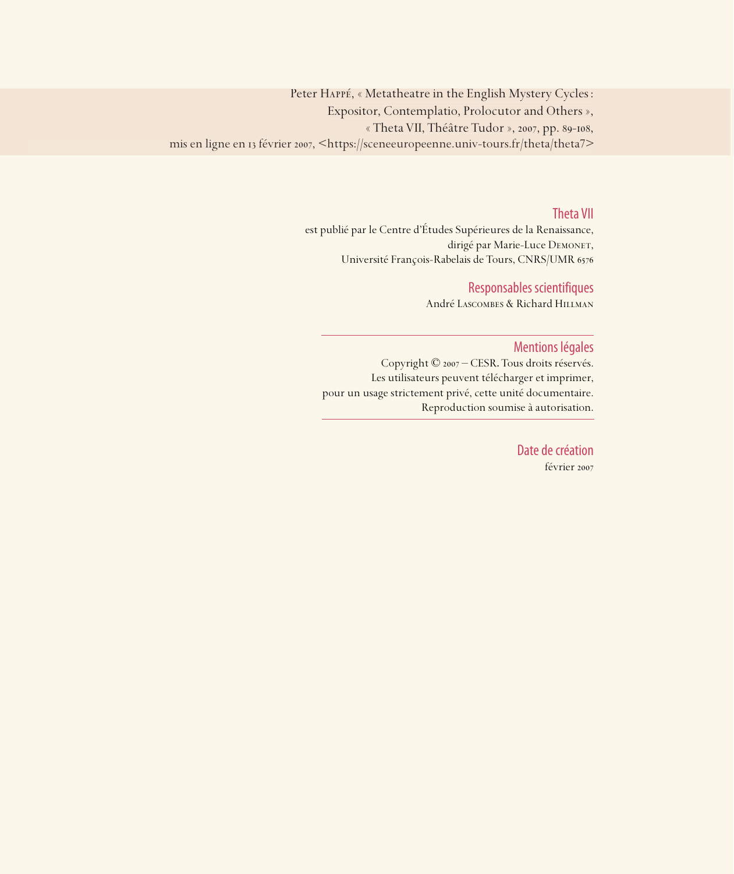Peter Happé, « Metatheatre in the English Mystery Cycles : Expositor, Contemplatio, Prolocutor and Others », « Theta VII, Théâtre Tudor », 2007, pp. 89-108, mis en ligne en 13 février 2007, <https://sceneeuropeenne.univ-tours.fr/theta/theta7>

#### Theta VII

est publié par le Centre d'Études Supérieures de la Renaissance, dirigé par Marie-Luce DEMONET, Université François-Rabelais de Tours, CNRS/UMR

### Responsables scientifiques

André Lascombes & Richard Hillman

#### Mentions légales

Copyright © 2007 – CESR. Tous droits réservés. Les utilisateurs peuvent télécharger et imprimer, pour un usage strictement privé, cette unité documentaire. Reproduction soumise à autorisation.

> Date de création février 2007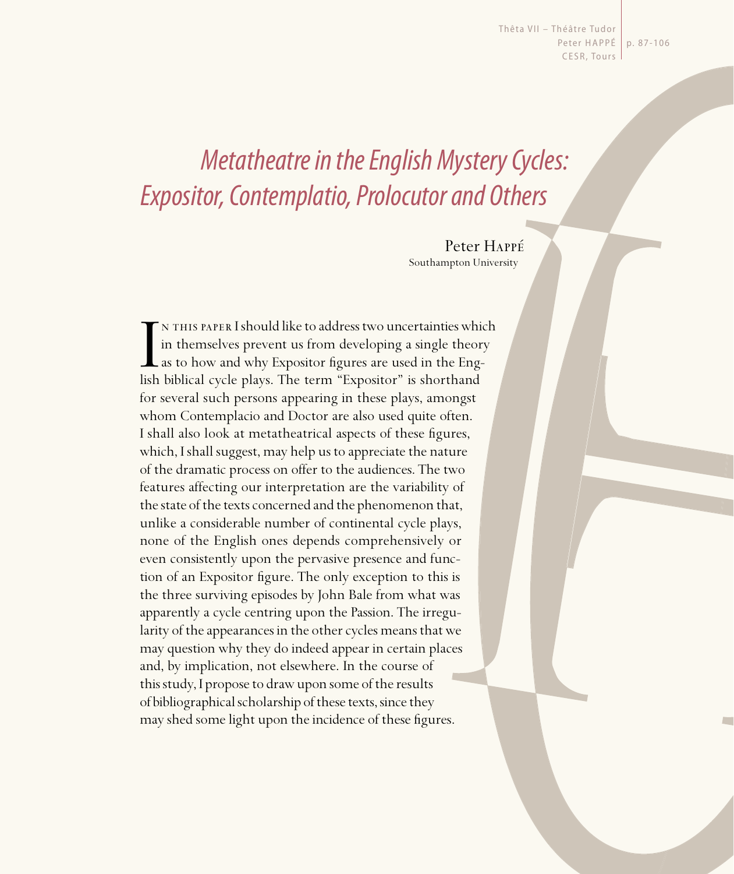Thêta VII - Théâtre Tudor Peter HAPPÉ | p. 87-106 CESR, Tours

# Metatheatre in the English Mystery Cycles: Expositor, Contemplatio, Prolocutor and Others

Peter Happé Southampton University

IN THIS PAPER I should like to address two uncertainties which in themselves prevent us from developing a single theor as to how and why Expositor figures are used in the English biblical cycle plays. The term "Expositor" n this paper I should like to address two uncertainties which in themselves prevent us from developing a single theory  $\mathsf L$  as to how and why Expositor figures are used in the Engfor several such persons appearing in these plays, amongst whom Contemplacio and Doctor are also used quite often. I shall also look at metatheatrical aspects of these figures, which, I shall suggest, may help us to appreciate the nature of the dramatic process on offer to the audiences. The two features affecting our interpretation are the variability of the state of the texts concerned and the phenomenon that, unlike a considerable number of continental cycle plays, none of the English ones depends comprehensively or even consistently upon the pervasive presence and function of an Expositor figure. The only exception to this is the three surviving episodes by John Bale from what was apparently a cycle centring upon the Passion. The irregularity of the appearances in the other cycles means that we may question why they do indeed appear in certain places and, by implication, not elsewhere. In the course of this study, I propose to draw upon some of the results of bibliographical scholarship of these texts, since they may shed some light upon the incidence of these figures.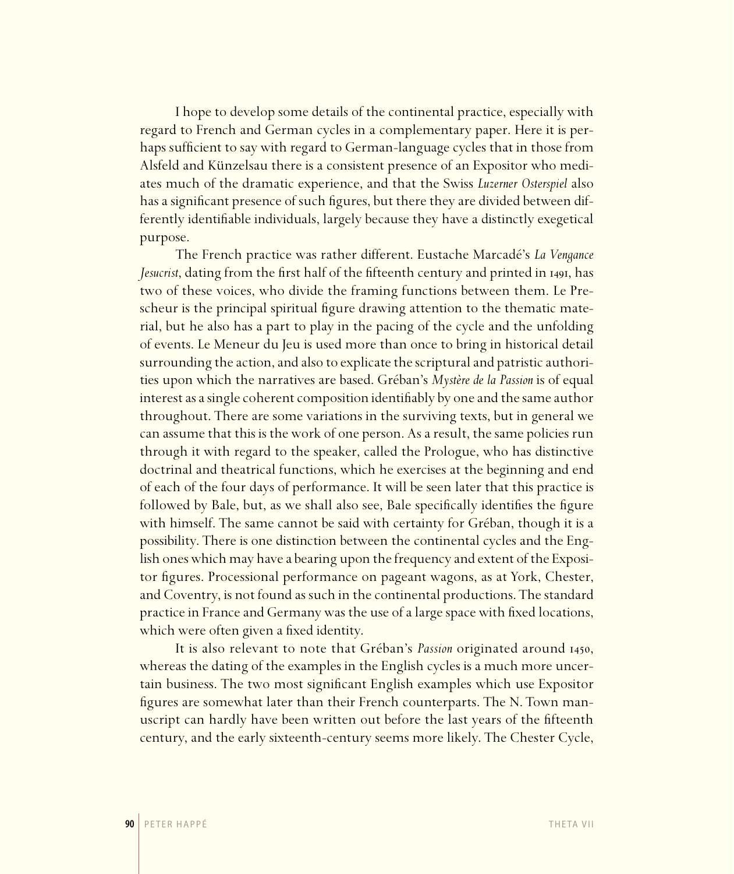I hope to develop some details of the continental practice, especially with regard to French and German cycles in a complementary paper. Here it is perhaps sufficient to say with regard to German-language cycles that in those from Alsfeld and Künzelsau there is a consistent presence of an Expositor who mediates much of the dramatic experience, and that the Swiss *Luzerner Osterspiel* also has a significant presence of such figures, but there they are divided between differently identifiable individuals, largely because they have a distinctly exegetical purpose.

The French practice was rather different. Eustache Marcadé's *La Vengance*  Jesucrist, dating from the first half of the fifteenth century and printed in 1491, has two of these voices, who divide the framing functions between them. Le Prescheur is the principal spiritual figure drawing attention to the thematic material, but he also has a part to play in the pacing of the cycle and the unfolding of events. Le Meneur du Jeu is used more than once to bring in historical detail surrounding the action, and also to explicate the scriptural and patristic authorities upon which the narratives are based. Gréban's *Mystère de la Passion* is of equal interest as a single coherent composition identifiably by one and the same author throughout. There are some variations in the surviving texts, but in general we can assume that this is the work of one person. As a result, the same policies run through it with regard to the speaker, called the Prologue, who has distinctive doctrinal and theatrical functions, which he exercises at the beginning and end of each of the four days of performance. It will be seen later that this practice is followed by Bale, but, as we shall also see, Bale specifically identifies the figure with himself. The same cannot be said with certainty for Gréban, though it is a possibility. There is one distinction between the continental cycles and the English ones which may have a bearing upon the frequency and extent of the Expositor figures. Processional performance on pageant wagons, as at York, Chester, and Coventry, is not found as such in the continental productions. The standard practice in France and Germany was the use of a large space with fixed locations, which were often given a fixed identity.

It is also relevant to note that Gréban's *Passion* originated around 1450, whereas the dating of the examples in the English cycles is a much more uncertain business. The two most significant English examples which use Expositor figures are somewhat later than their French counterparts. The N. Town manuscript can hardly have been written out before the last years of the fifteenth century, and the early sixteenth-century seems more likely. The Chester Cycle,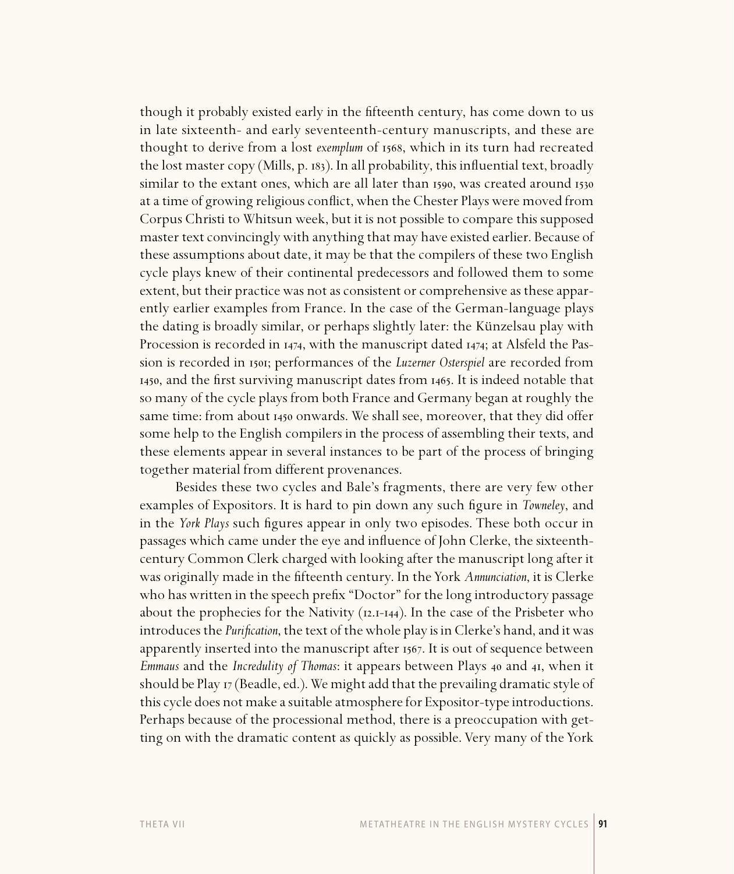though it probably existed early in the fifteenth century, has come down to us in late sixteenth- and early seventeenth-century manuscripts, and these are thought to derive from a lost *exemplum* of 1568, which in its turn had recreated the lost master copy (Mills, p.  $183$ ). In all probability, this influential text, broadly similar to the extant ones, which are all later than 1590, was created around 1530 at a time of growing religious conflict, when the Chester Plays were moved from Corpus Christi to Whitsun week, but it is not possible to compare this supposed master text convincingly with anything that may have existed earlier. Because of these assumptions about date, it may be that the compilers of these two English cycle plays knew of their continental predecessors and followed them to some extent, but their practice was not as consistent or comprehensive as these apparently earlier examples from France. In the case of the German-language plays the dating is broadly similar, or perhaps slightly later: the Künzelsau play with Procession is recorded in 1474, with the manuscript dated 1474; at Alsfeld the Passion is recorded in 1501; performances of the *Luzerner Osterspiel* are recorded from 1450, and the first surviving manuscript dates from 1465. It is indeed notable that so many of the cycle plays from both France and Germany began at roughly the same time: from about 1450 onwards. We shall see, moreover, that they did offer some help to the English compilers in the process of assembling their texts, and these elements appear in several instances to be part of the process of bringing together material from different provenances.

Besides these two cycles and Bale's fragments, there are very few other examples of Expositors. It is hard to pin down any such figure in *Towneley*, and in the *York Plays* such figures appear in only two episodes. These both occur in passages which came under the eye and infl uence of John Clerke, the sixteenthcentury Common Clerk charged with looking after the manuscript long after it was originally made in the fifteenth century. In the York *Annunciation*, it is Clerke who has written in the speech prefix "Doctor" for the long introductory passage about the prophecies for the Nativity  $(12.1-14.4)$ . In the case of the Prisbeter who introduces the *Purification*, the text of the whole play is in Clerke's hand, and it was apparently inserted into the manuscript after 1567. It is out of sequence between *Emmaus* and the *Incredulity of Thomas*: it appears between Plays 40 and 41, when it should be Play  $_{17}$  (Beadle, ed.). We might add that the prevailing dramatic style of this cycle does not make a suitable atmosphere for Expositor-type introductions. Perhaps because of the processional method, there is a preoccupation with getting on with the dramatic content as quickly as possible. Very many of the York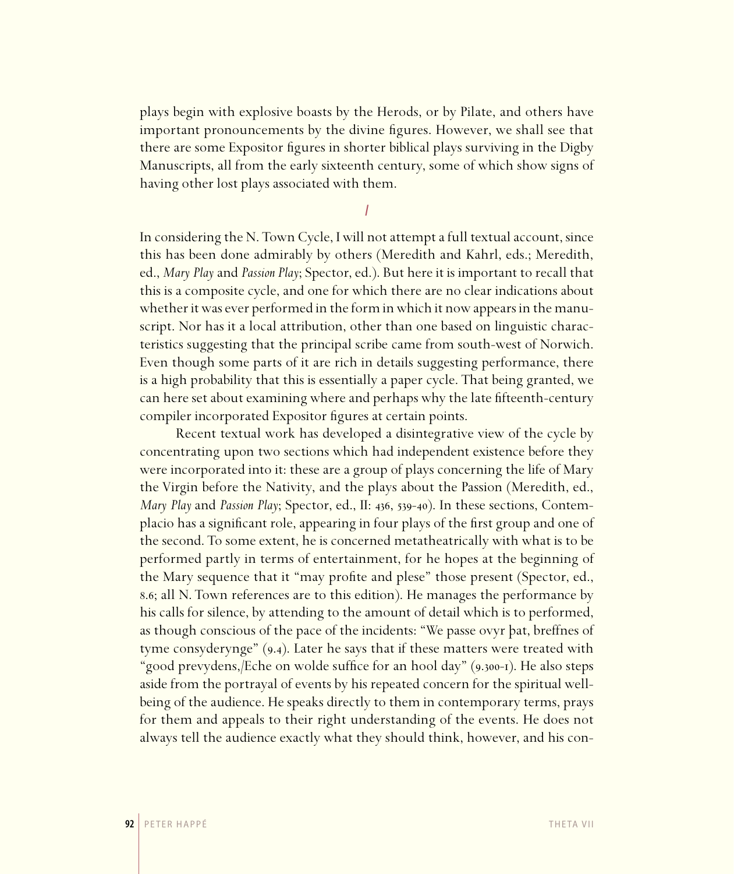plays begin with explosive boasts by the Herods, or by Pilate, and others have important pronouncements by the divine figures. However, we shall see that there are some Expositor figures in shorter biblical plays surviving in the Digby Manuscripts, all from the early sixteenth century, some of which show signs of having other lost plays associated with them.

I

In considering the N. Town Cycle, I will not attempt a full textual account, since this has been done admirably by others (Meredith and Kahrl, eds.; Meredith, ed., *Mary Play* and *Passion Play*; Spector, ed.). But here it is important to recall that this is a composite cycle, and one for which there are no clear indications about whether it was ever performed in the form in which it now appears in the manuscript. Nor has it a local attribution, other than one based on linguistic characteristics suggesting that the principal scribe came from south-west of Norwich. Even though some parts of it are rich in details suggesting performance, there is a high probability that this is essentially a paper cycle. That being granted, we can here set about examining where and perhaps why the late fifteenth-century compiler incorporated Expositor figures at certain points.

Recent textual work has developed a disintegrative view of the cycle by concentrating upon two sections which had independent existence before they were incorporated into it: these are a group of plays concerning the life of Mary the Virgin before the Nativity, and the plays about the Passion (Meredith, ed., *Mary Play* and *Passion Play*; Spector, ed., II: 436, 539-40). In these sections, Contemplacio has a significant role, appearing in four plays of the first group and one of the second. To some extent, he is concerned metatheatrically with what is to be performed partly in terms of entertainment, for he hopes at the beginning of the Mary sequence that it "may profite and plese" those present (Spector, ed., 8.6; all N. Town references are to this edition). He manages the performance by his calls for silence, by attending to the amount of detail which is to performed, as though conscious of the pace of the incidents: "We passe ovyr þat, breffnes of tyme consyderynge"  $(9.4)$ . Later he says that if these matters were treated with "good prevydens, *[Eche on wolde suffice for an hool day*" (9.300-1). He also steps aside from the portrayal of events by his repeated concern for the spiritual wellbeing of the audience. He speaks directly to them in contemporary terms, prays for them and appeals to their right understanding of the events. He does not always tell the audience exactly what they should think, however, and his con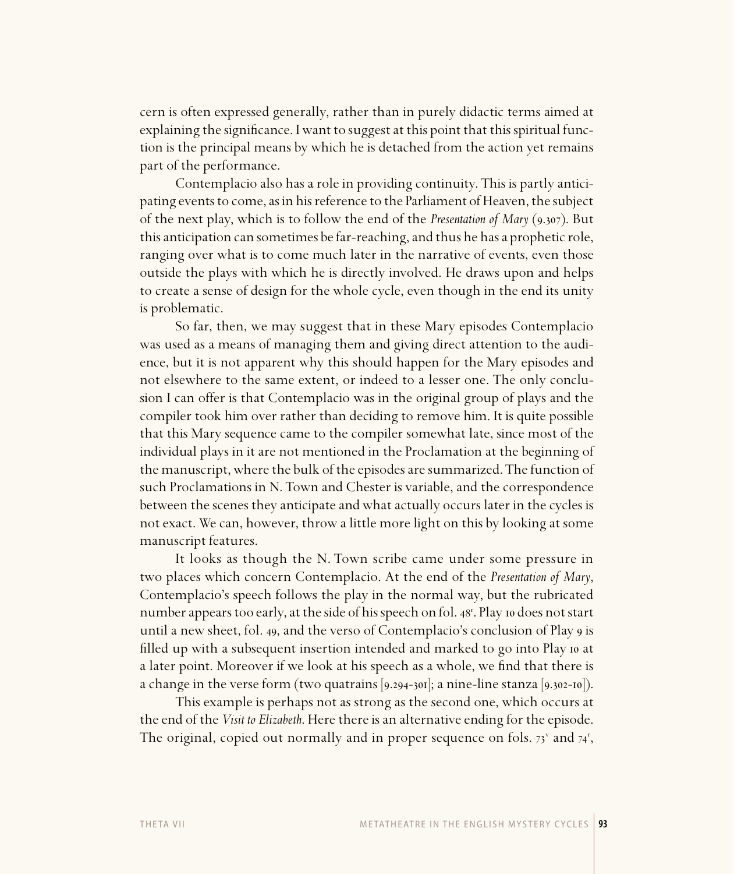cern is often expressed generally, rather than in purely didactic terms aimed at explaining the significance. I want to suggest at this point that this spiritual function is the principal means by which he is detached from the action yet remains part of the performance.

Contemplacio also has a role in providing continuity. This is partly anticipating events to come, as in his reference to the Parliament of Heaven, the subject of the next play, which is to follow the end of the *Presentation of Mary* (9.307). But this anticipation can sometimes be far-reaching, and thus he has a prophetic role, ranging over what is to come much later in the narrative of events, even those outside the plays with which he is directly involved. He draws upon and helps to create a sense of design for the whole cycle, even though in the end its unity is problematic.

So far, then, we may suggest that in these Mary episodes Contemplacio was used as a means of managing them and giving direct attention to the audience, but it is not apparent why this should happen for the Mary episodes and not elsewhere to the same extent, or indeed to a lesser one. The only conclusion I can offer is that Contemplacio was in the original group of plays and the compiler took him over rather than deciding to remove him. It is quite possible that this Mary sequence came to the compiler somewhat late, since most of the individual plays in it are not mentioned in the Proclamation at the beginning of the manuscript, where the bulk of the episodes are summarized. The function of such Proclamations in N. Town and Chester is variable, and the correspondence between the scenes they anticipate and what actually occurs later in the cycles is not exact. We can, however, throw a little more light on this by looking at some manuscript features.

It looks as though the N. Town scribe came under some pressure in two places which concern Contemplacio. At the end of the *Presentation of Mary*, Contemplacio's speech follows the play in the normal way, but the rubricated number appears too early, at the side of his speech on fol. 48<sup>r</sup>. Play 10 does not start until a new sheet, fol. 49, and the verso of Contemplacio's conclusion of Play 9 is filled up with a subsequent insertion intended and marked to go into Play io at a later point. Moreover if we look at his speech as a whole, we find that there is a change in the verse form (two quatrains  $[9.294-301]$ ; a nine-line stanza  $[9.302-10]$ ).

This example is perhaps not as strong as the second one, which occurs at the end of the *Visit to Elizabeth*. Here there is an alternative ending for the episode. The original, copied out normally and in proper sequence on fols.  $73^{\circ}$  and  $74^{\circ}$ ,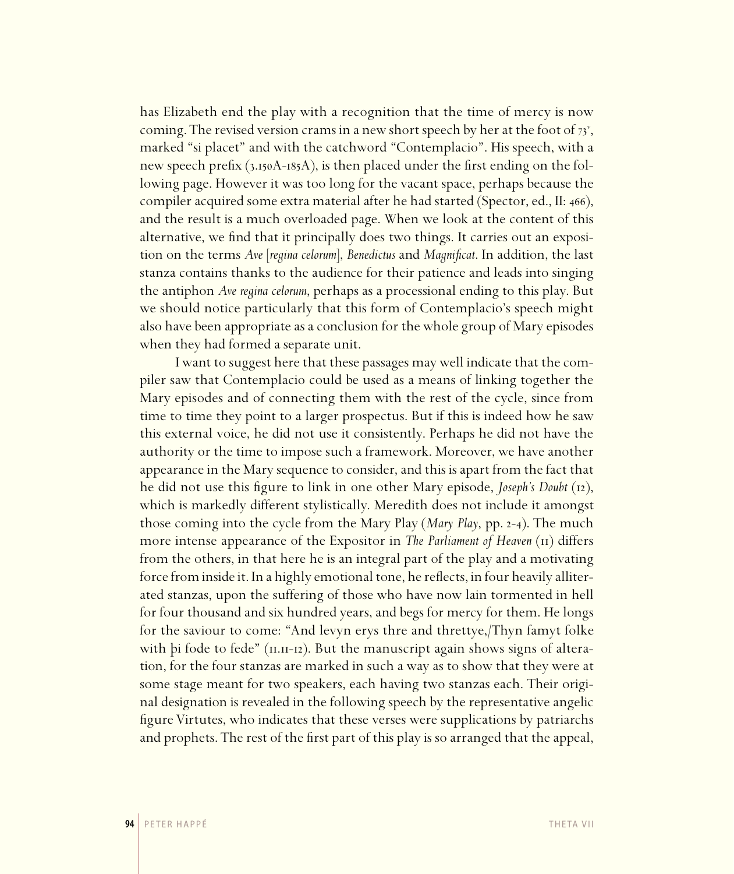has Elizabeth end the play with a recognition that the time of mercy is now coming. The revised version crams in a new short speech by her at the foot of  $73^{\circ}$ , marked "si placet" and with the catchword "Contemplacio". His speech, with a new speech prefix  $(3.150A-185A)$ , is then placed under the first ending on the following page. However it was too long for the vacant space, perhaps because the compiler acquired some extra material after he had started (Spector, ed., II: 466), and the result is a much overloaded page. When we look at the content of this alternative, we find that it principally does two things. It carries out an exposition on the terms *Ave* [*regina celorum*], *Benedictus* and *Magnificat*. In addition, the last stanza contains thanks to the audience for their patience and leads into singing the antiphon *Ave regina celorum*, perhaps as a processional ending to this play. But we should notice particularly that this form of Contemplacio's speech might also have been appropriate as a conclusion for the whole group of Mary episodes when they had formed a separate unit.

I want to suggest here that these passages may well indicate that the compiler saw that Contemplacio could be used as a means of linking together the Mary episodes and of connecting them with the rest of the cycle, since from time to time they point to a larger prospectus. But if this is indeed how he saw this external voice, he did not use it consistently. Perhaps he did not have the authority or the time to impose such a framework. Moreover, we have another appearance in the Mary sequence to consider, and this is apart from the fact that he did not use this figure to link in one other Mary episode, *Joseph's Doubt* (12), which is markedly different stylistically. Meredith does not include it amongst those coming into the cycle from the Mary Play (*Mary Play*, pp. 2-4). The much more intense appearance of the Expositor in *The Parliament of Heaven* (II) differs from the others, in that here he is an integral part of the play and a motivating force from inside it. In a highly emotional tone, he reflects, in four heavily alliterated stanzas, upon the suffering of those who have now lain tormented in hell for four thousand and six hundred years, and begs for mercy for them. He longs for the saviour to come: "And levyn erys thre and threttye,/Thyn famyt folke with þi fode to fede" (11.11-12). But the manuscript again shows signs of alteration, for the four stanzas are marked in such a way as to show that they were at some stage meant for two speakers, each having two stanzas each. Their original designation is revealed in the following speech by the representative angelic figure Virtutes, who indicates that these verses were supplications by patriarchs and prophets. The rest of the first part of this play is so arranged that the appeal,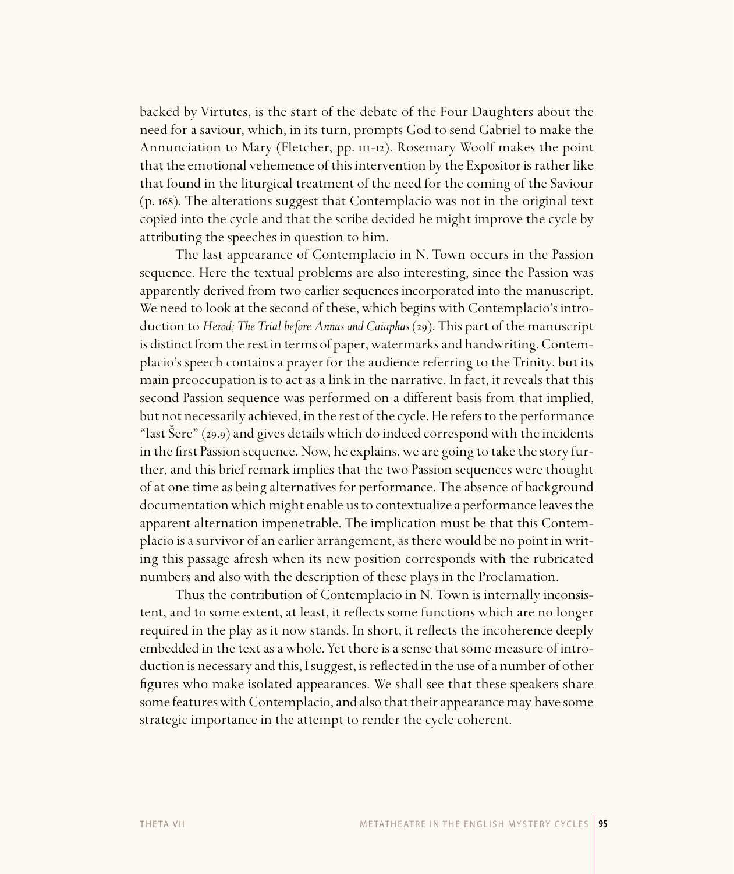backed by Virtutes, is the start of the debate of the Four Daughters about the need for a saviour, which, in its turn, prompts God to send Gabriel to make the Annunciation to Mary (Fletcher,  $pp. \text{III-12}$ ). Rosemary Woolf makes the point that the emotional vehemence of this intervention by the Expositor is rather like that found in the liturgical treatment of the need for the coming of the Saviour (p. ). The alterations suggest that Contemplacio was not in the original text copied into the cycle and that the scribe decided he might improve the cycle by attributing the speeches in question to him.

The last appearance of Contemplacio in N. Town occurs in the Passion sequence. Here the textual problems are also interesting, since the Passion was apparently derived from two earlier sequences incorporated into the manuscript. We need to look at the second of these, which begins with Contemplacio's introduction to *Herod; The Trial before Annas and Caiaphas* (). This part of the manuscript is distinct from the rest in terms of paper, watermarks and handwriting. Contemplacio's speech contains a prayer for the audience referring to the Trinity, but its main preoccupation is to act as a link in the narrative. In fact, it reveals that this second Passion sequence was performed on a different basis from that implied, but not necessarily achieved, in the rest of the cycle. He refers to the performance "last Sere" (29.9) and gives details which do indeed correspond with the incidents in the first Passion sequence. Now, he explains, we are going to take the story further, and this brief remark implies that the two Passion sequences were thought of at one time as being alternatives for performance. The absence of background documentation which might enable us to contextualize a performance leaves the apparent alternation impenetrable. The implication must be that this Contemplacio is a survivor of an earlier arrangement, as there would be no point in writing this passage afresh when its new position corresponds with the rubricated numbers and also with the description of these plays in the Proclamation.

Thus the contribution of Contemplacio in N. Town is internally inconsistent, and to some extent, at least, it reflects some functions which are no longer required in the play as it now stands. In short, it reflects the incoherence deeply embedded in the text as a whole. Yet there is a sense that some measure of introduction is necessary and this, I suggest, is reflected in the use of a number of other figures who make isolated appearances. We shall see that these speakers share some features with Contemplacio, and also that their appearance may have some strategic importance in the attempt to render the cycle coherent.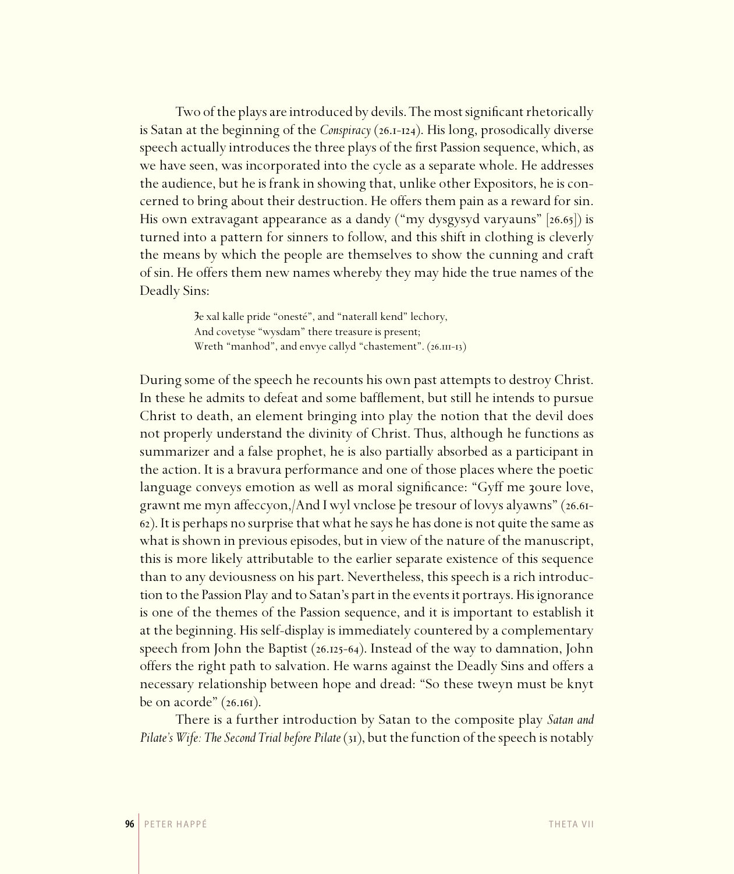Two of the plays are introduced by devils. The most significant rhetorically is Satan at the beginning of the *Conspiracy* (26.1-124). His long, prosodically diverse speech actually introduces the three plays of the first Passion sequence, which, as we have seen, was incorporated into the cycle as a separate whole. He addresses the audience, but he is frank in showing that, unlike other Expositors, he is concerned to bring about their destruction. He offers them pain as a reward for sin. His own extravagant appearance as a dandy ("my dysgysyd varyauns"  $[26.65]$ ) is turned into a pattern for sinners to follow, and this shift in clothing is cleverly the means by which the people are themselves to show the cunning and craft of sin. He offers them new names whereby they may hide the true names of the Deadly Sins:

> Je xal kalle pride "onesté", and "naterall kend" lechory, And covetyse "wysdam" there treasure is present; Wreth "manhod", and envye callyd "chastement". (26.III-13)

During some of the speech he recounts his own past attempts to destroy Christ. In these he admits to defeat and some bafflement, but still he intends to pursue Christ to death, an element bringing into play the notion that the devil does not properly understand the divinity of Christ. Thus, although he functions as summarizer and a false prophet, he is also partially absorbed as a participant in the action. It is a bravura performance and one of those places where the poetic language conveys emotion as well as moral significance: "Gyff me zoure love, grawnt me myn affeccyon, And I wyl vnclose be tresour of lovys alyawns" (26.61-). It is perhaps no surprise that what he says he has done is not quite the same as what is shown in previous episodes, but in view of the nature of the manuscript, this is more likely attributable to the earlier separate existence of this sequence than to any deviousness on his part. Nevertheless, this speech is a rich introduction to the Passion Play and to Satan's part in the events it portrays. His ignorance is one of the themes of the Passion sequence, and it is important to establish it at the beginning. His self-display is immediately countered by a complementary speech from John the Baptist  $(26.125-64)$ . Instead of the way to damnation, John offers the right path to salvation. He warns against the Deadly Sins and offers a necessary relationship between hope and dread: "So these tweyn must be knyt be on acorde"  $(26.161)$ .

There is a further introduction by Satan to the composite play *Satan and Pilate's Wife: The Second Trial before Pilate* (31), but the function of the speech is notably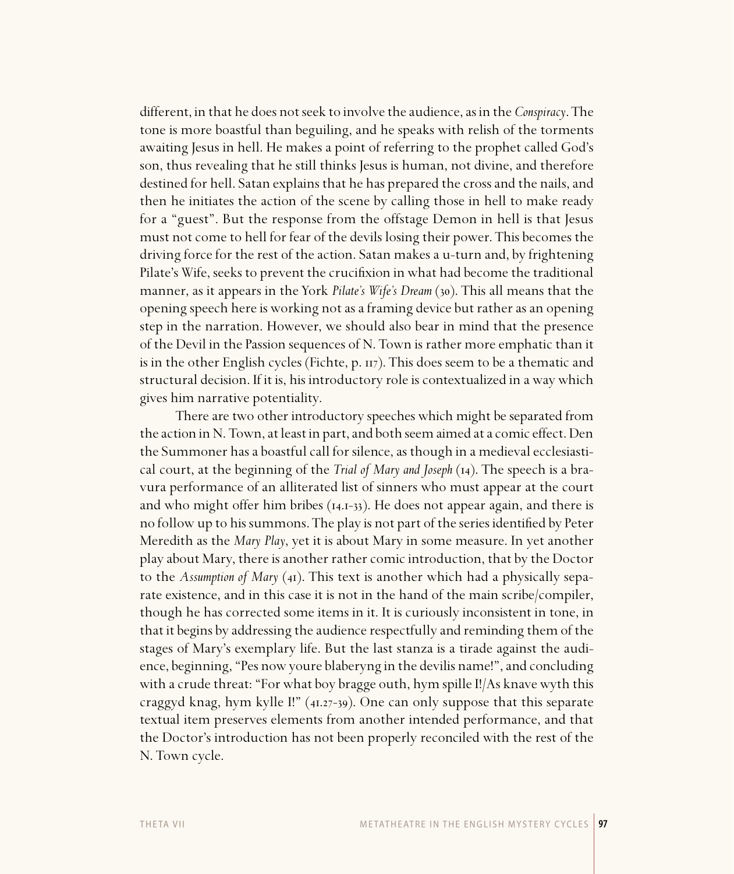different, in that he does not seek to involve the audience, as in the *Conspiracy*. The tone is more boastful than beguiling, and he speaks with relish of the torments awaiting Jesus in hell. He makes a point of referring to the prophet called God's son, thus revealing that he still thinks Jesus is human, not divine, and therefore destined for hell. Satan explains that he has prepared the cross and the nails, and then he initiates the action of the scene by calling those in hell to make ready for a "guest". But the response from the offstage Demon in hell is that Jesus must not come to hell for fear of the devils losing their power. This becomes the driving force for the rest of the action. Satan makes a u-turn and, by frightening Pilate's Wife, seeks to prevent the crucifixion in what had become the traditional manner, as it appears in the York *Pilate's Wife's Dream* (30). This all means that the opening speech here is working not as a framing device but rather as an opening step in the narration. However, we should also bear in mind that the presence of the Devil in the Passion sequences of N. Town is rather more emphatic than it is in the other English cycles (Fichte, p.  $\pi$ ). This does seem to be a thematic and structural decision. If it is, his introductory role is contextualized in a way which gives him narrative potentiality.

There are two other introductory speeches which might be separated from the action in N. Town, at least in part, and both seem aimed at a comic effect. Den the Summoner has a boastful call for silence, as though in a medieval ecclesiastical court, at the beginning of the *Trial of Mary and Joseph* (14). The speech is a bravura performance of an alliterated list of sinners who must appear at the court and who might offer him bribes  $(14.1-33)$ . He does not appear again, and there is no follow up to his summons. The play is not part of the series identified by Peter Meredith as the *Mary Play*, yet it is about Mary in some measure. In yet another play about Mary, there is another rather comic introduction, that by the Doctor to the *Assumption of Mary* (41). This text is another which had a physically separate existence, and in this case it is not in the hand of the main scribe/compiler, though he has corrected some items in it. It is curiously inconsistent in tone, in that it begins by addressing the audience respectfully and reminding them of the stages of Mary's exemplary life. But the last stanza is a tirade against the audience, beginning, "Pes now youre blaberyng in the devilis name!", and concluding with a crude threat: "For what boy bragge outh, hym spille I!/As knave wyth this craggyd knag, hym kylle I!"  $(41.27-39)$ . One can only suppose that this separate textual item preserves elements from another intended performance, and that the Doctor's introduction has not been properly reconciled with the rest of the N. Town cycle.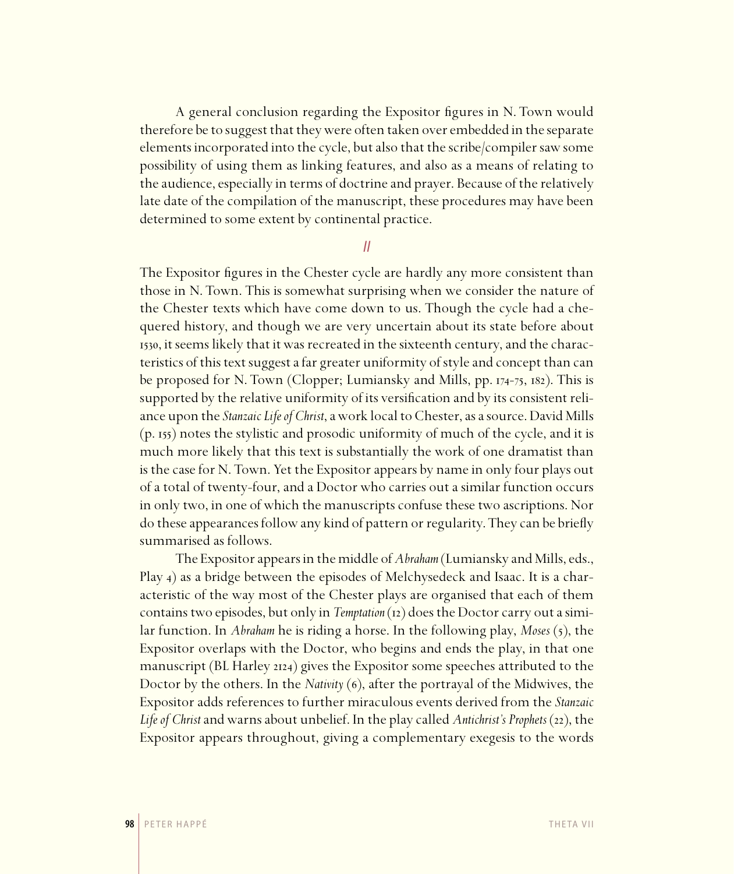A general conclusion regarding the Expositor figures in N. Town would therefore be to suggest that they were often taken over embedded in the separate elements incorporated into the cycle, but also that the scribe/compiler saw some possibility of using them as linking features, and also as a means of relating to the audience, especially in terms of doctrine and prayer. Because of the relatively late date of the compilation of the manuscript, these procedures may have been determined to some extent by continental practice.

#### II

The Expositor figures in the Chester cycle are hardly any more consistent than those in N. Town. This is somewhat surprising when we consider the nature of the Chester texts which have come down to us. Though the cycle had a chequered history, and though we are very uncertain about its state before about 1530, it seems likely that it was recreated in the sixteenth century, and the characteristics of this text suggest a far greater uniformity of style and concept than can be proposed for N. Town (Clopper; Lumiansky and Mills, pp.  $174-75$ ,  $182$ ). This is supported by the relative uniformity of its versification and by its consistent reliance upon the *Stanzaic Life of Christ*, a work local to Chester, as a source. David Mills  $(p. 155)$  notes the stylistic and prosodic uniformity of much of the cycle, and it is much more likely that this text is substantially the work of one dramatist than is the case for N. Town. Yet the Expositor appears by name in only four plays out of a total of twenty-four, and a Doctor who carries out a similar function occurs in only two, in one of which the manuscripts confuse these two ascriptions. Nor do these appearances follow any kind of pattern or regularity. They can be briefly summarised as follows.

The Expositor appears in the middle of *Abraham* (Lumiansky and Mills, eds., Play 4) as a bridge between the episodes of Melchysedeck and Isaac. It is a characteristic of the way most of the Chester plays are organised that each of them contains two episodes, but only in *Temptation* (12) does the Doctor carry out a similar function. In *Abraham* he is riding a horse. In the following play, *Moses* (5), the Expositor overlaps with the Doctor, who begins and ends the play, in that one manuscript (BL Harley 2124) gives the Expositor some speeches attributed to the Doctor by the others. In the *Nativity* (6), after the portrayal of the Midwives, the Expositor adds references to further miraculous events derived from the *Stanzaic Life of Christ* and warns about unbelief. In the play called *Antichrist's Prophets* (22), the Expositor appears throughout, giving a complementary exegesis to the words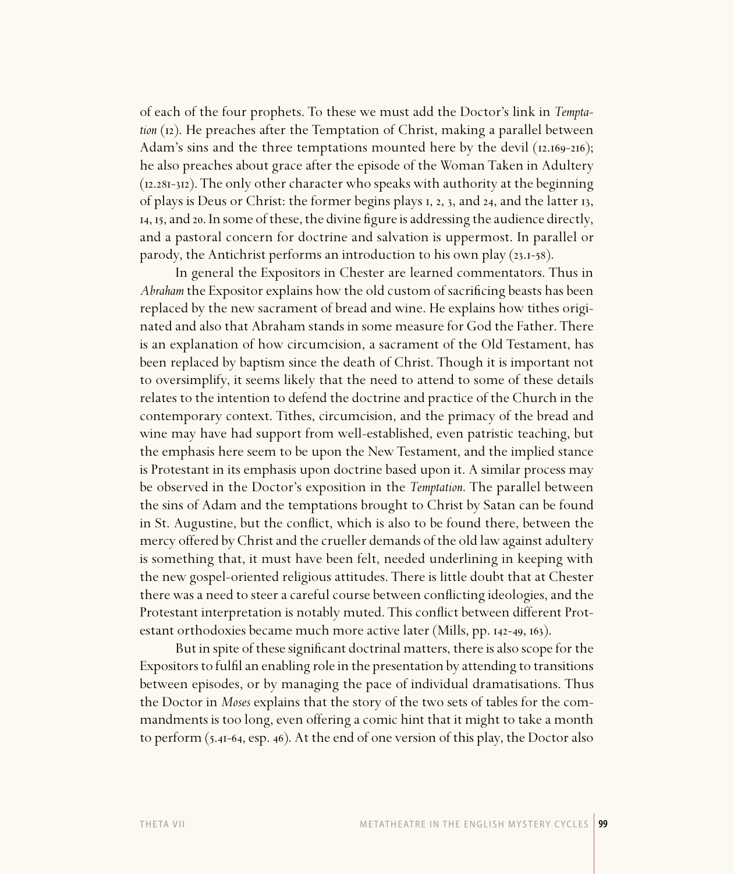of each of the four prophets. To these we must add the Doctor's link in *Temptation* (12). He preaches after the Temptation of Christ, making a parallel between Adam's sins and the three temptations mounted here by the devil  $(12.169-216)$ ; he also preaches about grace after the episode of the Woman Taken in Adultery  $(12.281-312)$ . The only other character who speaks with authority at the beginning of plays is Deus or Christ: the former begins plays 1, 2, 3, and 24, and the latter 13,  $_{14}$ ,  $_{15}$ , and  $_{20}$ . In some of these, the divine figure is addressing the audience directly, and a pastoral concern for doctrine and salvation is uppermost. In parallel or parody, the Antichrist performs an introduction to his own play  $(23.1-58)$ .

In general the Expositors in Chester are learned commentators. Thus in *Abraham* the Expositor explains how the old custom of sacrificing beasts has been replaced by the new sacrament of bread and wine. He explains how tithes originated and also that Abraham stands in some measure for God the Father. There is an explanation of how circumcision, a sacrament of the Old Testament, has been replaced by baptism since the death of Christ. Though it is important not to oversimplify, it seems likely that the need to attend to some of these details relates to the intention to defend the doctrine and practice of the Church in the contemporary context. Tithes, circumcision, and the primacy of the bread and wine may have had support from well-established, even patristic teaching, but the emphasis here seem to be upon the New Testament, and the implied stance is Protestant in its emphasis upon doctrine based upon it. A similar process may be observed in the Doctor's exposition in the *Temptation*. The parallel between the sins of Adam and the temptations brought to Christ by Satan can be found in St. Augustine, but the conflict, which is also to be found there, between the mercy offered by Christ and the crueller demands of the old law against adultery is something that, it must have been felt, needed underlining in keeping with the new gospel-oriented religious attitudes. There is little doubt that at Chester there was a need to steer a careful course between conflicting ideologies, and the Protestant interpretation is notably muted. This conflict between different Protestant orthodoxies became much more active later (Mills, pp. 142-49, 163).

But in spite of these significant doctrinal matters, there is also scope for the Expositors to fulfi l an enabling role in the presentation by attending to transitions between episodes, or by managing the pace of individual dramatisations. Thus the Doctor in *Moses* explains that the story of the two sets of tables for the commandments is too long, even offering a comic hint that it might to take a month to perform  $(5.41-64, \text{ esp. } 46)$ . At the end of one version of this play, the Doctor also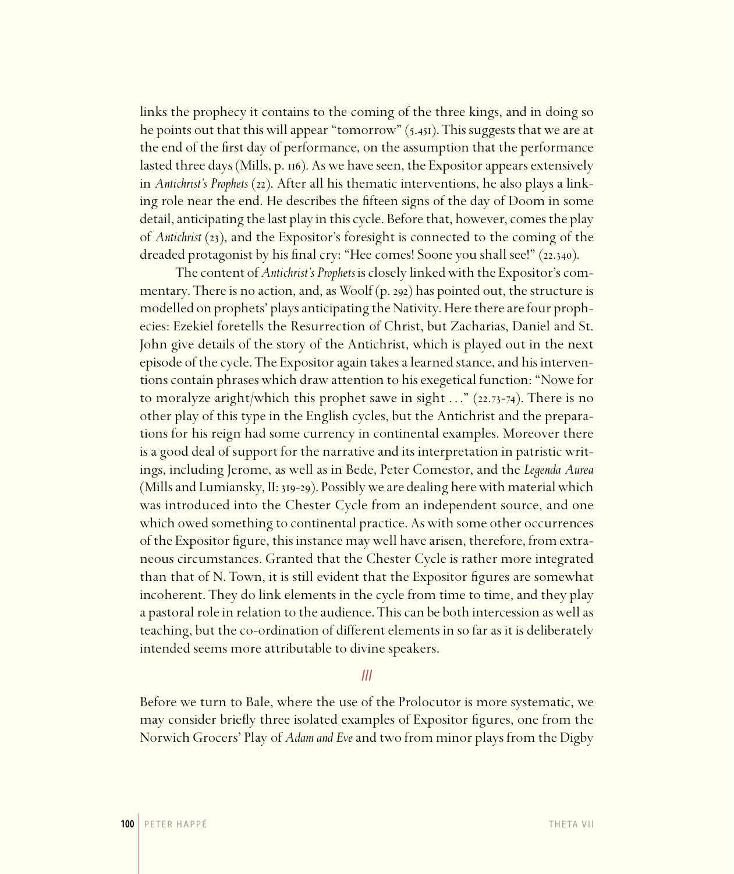links the prophecy it contains to the coming of the three kings, and in doing so he points out that this will appear "tomorrow"  $(5.451)$ . This suggests that we are at the end of the first day of performance, on the assumption that the performance lasted three days (Mills, p.  $\pi$ 6). As we have seen, the Expositor appears extensively in *Antichrist's Prophets* (22). After all his thematic interventions, he also plays a linking role near the end. He describes the fifteen signs of the day of Doom in some detail, anticipating the last play in this cycle. Before that, however, comes the play of *Antichrist* (), and the Expositor's foresight is connected to the coming of the dreaded protagonist by his final cry: "Hee comes! Soone you shall see!" (22.340).

The content of *Antichrist's Prophets* is closely linked with the Expositor's commentary. There is no action, and, as Woolf  $(p. 292)$  has pointed out, the structure is modelled on prophets' plays anticipating the Nativity. Here there are four prophecies: Ezekiel foretells the Resurrection of Christ, but Zacharias, Daniel and St. John give details of the story of the Antichrist, which is played out in the next episode of the cycle. The Expositor again takes a learned stance, and his interventions contain phrases which draw attention to his exegetical function: "Nowe for to moralyze aright/which this prophet sawe in sight  $\ldots$ " (22.73-74). There is no other play of this type in the English cycles, but the Antichrist and the preparations for his reign had some currency in continental examples. Moreover there is a good deal of support for the narrative and its interpretation in patristic writings, including Jerome, as well as in Bede, Peter Comestor, and the *Legenda Aurea* (Mills and Lumiansky,  $II:$  319-29). Possibly we are dealing here with material which was introduced into the Chester Cycle from an independent source, and one which owed something to continental practice. As with some other occurrences of the Expositor figure, this instance may well have arisen, therefore, from extraneous circumstances. Granted that the Chester Cycle is rather more integrated than that of N. Town, it is still evident that the Expositor figures are somewhat incoherent. They do link elements in the cycle from time to time, and they play a pastoral role in relation to the audience. This can be both intercession as well as teaching, but the co-ordination of different elements in so far as it is deliberately intended seems more attributable to divine speakers.

#### III

Before we turn to Bale, where the use of the Prolocutor is more systematic, we may consider briefly three isolated examples of Expositor figures, one from the Norwich Grocers' Play of *Adam and Eve* and two from minor plays from the Digby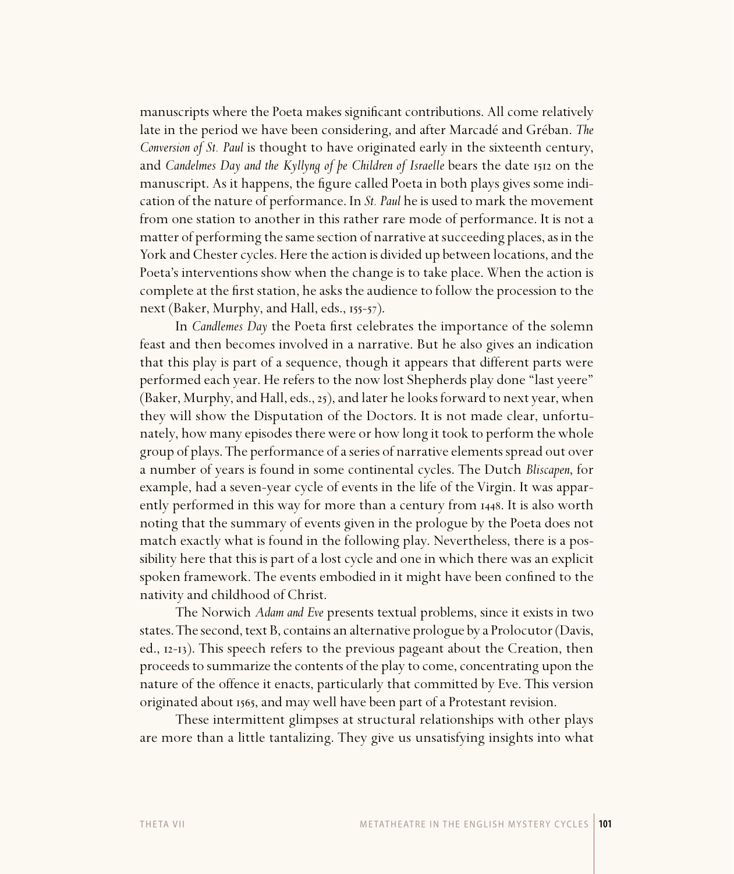manuscripts where the Poeta makes significant contributions. All come relatively late in the period we have been considering, and after Marcadé and Gréban. *The Conversion of St. Paul* is thought to have originated early in the sixteenth century, and *Candelmes Day and the Kyllyng of be Children of Israelle* bears the date 1512 on the manuscript. As it happens, the figure called Poeta in both plays gives some indication of the nature of performance. In *St. Paul* he is used to mark the movement from one station to another in this rather rare mode of performance. It is not a matter of performing the same section of narrative at succeeding places, as in the York and Chester cycles. Here the action is divided up between locations, and the Poeta's interventions show when the change is to take place. When the action is complete at the first station, he asks the audience to follow the procession to the next (Baker, Murphy, and Hall, eds.,  $155-57$ ).

In *Candlemes Day* the Poeta first celebrates the importance of the solemn feast and then becomes involved in a narrative. But he also gives an indication that this play is part of a sequence, though it appears that different parts were performed each year. He refers to the now lost Shepherds play done "last yeere" (Baker, Murphy, and Hall, eds.,  $25$ ), and later he looks forward to next year, when they will show the Disputation of the Doctors. It is not made clear, unfortunately, how many episodes there were or how long it took to perform the whole group of plays. The performance of a series of narrative elements spread out over a number of years is found in some continental cycles. The Dutch *Bliscapen*, for example, had a seven-year cycle of events in the life of the Virgin. It was apparently performed in this way for more than a century from 1448. It is also worth noting that the summary of events given in the prologue by the Poeta does not match exactly what is found in the following play. Nevertheless, there is a possibility here that this is part of a lost cycle and one in which there was an explicit spoken framework. The events embodied in it might have been confined to the nativity and childhood of Christ.

The Norwich *Adam and Eve* presents textual problems, since it exists in two states. The second, text B, contains an alternative prologue by a Prolocutor (Davis, ed., 12-13). This speech refers to the previous pageant about the Creation, then proceeds to summarize the contents of the play to come, concentrating upon the nature of the offence it enacts, particularly that committed by Eve. This version originated about 1565, and may well have been part of a Protestant revision.

These intermittent glimpses at structural relationships with other plays are more than a little tantalizing. They give us unsatisfying insights into what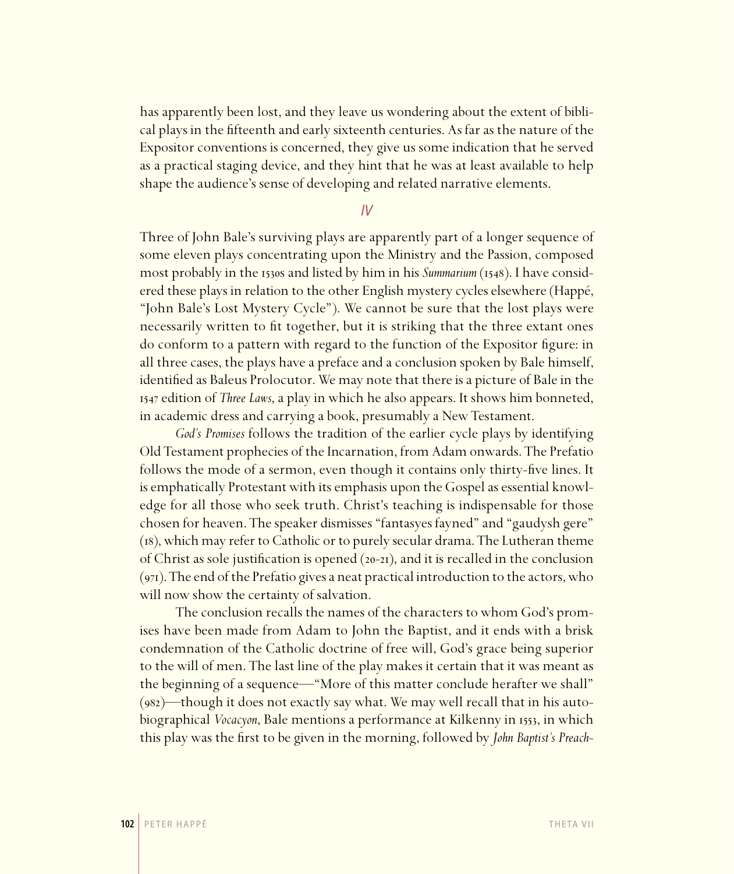has apparently been lost, and they leave us wondering about the extent of biblical plays in the fifteenth and early sixteenth centuries. As far as the nature of the Expositor conventions is concerned, they give us some indication that he served as a practical staging device, and they hint that he was at least available to help shape the audience's sense of developing and related narrative elements.

IV

Three of John Bale's surviving plays are apparently part of a longer sequence of some eleven plays concentrating upon the Ministry and the Passion, composed most probably in the 1530s and listed by him in his *Summarium* (1548). I have considered these plays in relation to the other English mystery cycles elsewhere (Happé, "John Bale's Lost Mystery Cycle"). We cannot be sure that the lost plays were necessarily written to fit together, but it is striking that the three extant ones do conform to a pattern with regard to the function of the Expositor figure: in all three cases, the plays have a preface and a conclusion spoken by Bale himself, identified as Baleus Prolocutor. We may note that there is a picture of Bale in the edition of *Three Laws*, a play in which he also appears. It shows him bonneted, in academic dress and carrying a book, presumably a New Testament.

*God's Promises* follows the tradition of the earlier cycle plays by identifying Old Testament prophecies of the Incarnation, from Adam onwards. The Prefatio follows the mode of a sermon, even though it contains only thirty-five lines. It is emphatically Protestant with its emphasis upon the Gospel as essential knowledge for all those who seek truth. Christ's teaching is indispensable for those chosen for heaven. The speaker dismisses "fantasyes fayned" and "gaudysh gere"  $(i)$ , which may refer to Catholic or to purely secular drama. The Lutheran theme of Christ as sole justification is opened  $(20-21)$ , and it is recalled in the conclusion  $(971)$ . The end of the Prefatio gives a neat practical introduction to the actors, who will now show the certainty of salvation.

The conclusion recalls the names of the characters to whom God's promises have been made from Adam to John the Baptist, and it ends with a brisk condemnation of the Catholic doctrine of free will, God's grace being superior to the will of men. The last line of the play makes it certain that it was meant as the beginning of a sequence—"More of this matter conclude herafter we shall"  $(982)$ —though it does not exactly say what. We may well recall that in his autobiographical *Vocacyon*, Bale mentions a performance at Kilkenny in 1553, in which this play was the first to be given in the morning, followed by *John Baptist's Preach-*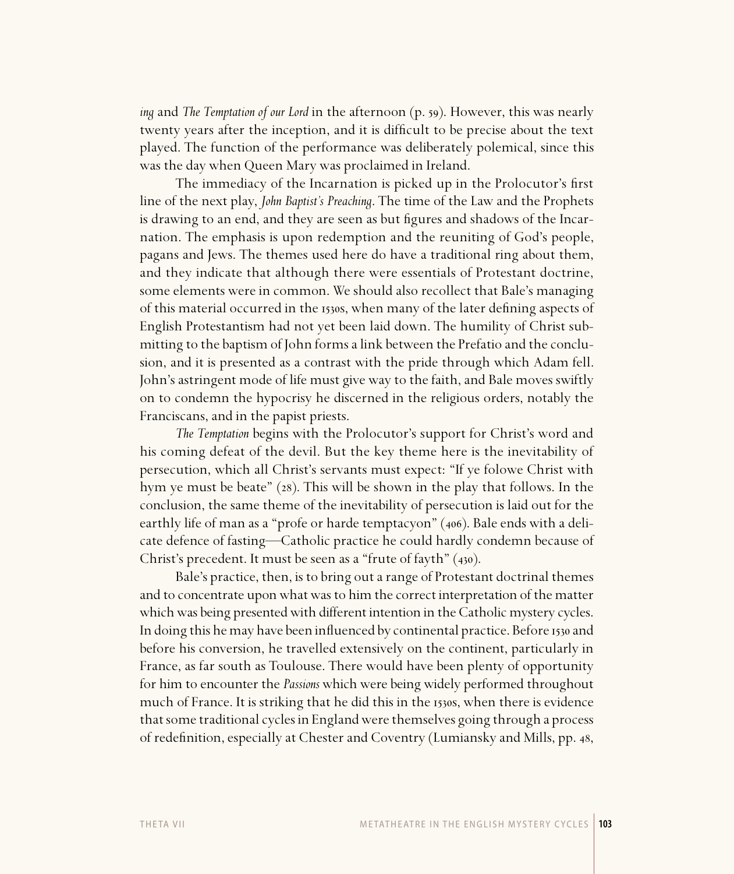*ing* and *The Temptation of our Lord* in the afternoon (p. 59). However, this was nearly twenty years after the inception, and it is difficult to be precise about the text played. The function of the performance was deliberately polemical, since this was the day when Queen Mary was proclaimed in Ireland.

The immediacy of the Incarnation is picked up in the Prolocutor's first line of the next play, *John Baptist's Preaching*. The time of the Law and the Prophets is drawing to an end, and they are seen as but figures and shadows of the Incarnation. The emphasis is upon redemption and the reuniting of God's people, pagans and Jews. The themes used here do have a traditional ring about them, and they indicate that although there were essentials of Protestant doctrine, some elements were in common. We should also recollect that Bale's managing of this material occurred in the 1530s, when many of the later defining aspects of English Protestantism had not yet been laid down. The humility of Christ submitting to the baptism of John forms a link between the Prefatio and the conclusion, and it is presented as a contrast with the pride through which Adam fell. John's astringent mode of life must give way to the faith, and Bale moves swiftly on to condemn the hypocrisy he discerned in the religious orders, notably the Franciscans, and in the papist priests.

*The Temptation* begins with the Prolocutor's support for Christ's word and his coming defeat of the devil. But the key theme here is the inevitability of persecution, which all Christ's servants must expect: "If ye folowe Christ with hym ye must be beate" (28). This will be shown in the play that follows. In the conclusion, the same theme of the inevitability of persecution is laid out for the earthly life of man as a "profe or harde temptacyon" (406). Bale ends with a delicate defence of fasting—Catholic practice he could hardly condemn because of Christ's precedent. It must be seen as a "frute of fayth"  $(430)$ .

Bale's practice, then, is to bring out a range of Protestant doctrinal themes and to concentrate upon what was to him the correct interpretation of the matter which was being presented with different intention in the Catholic mystery cycles. In doing this he may have been influenced by continental practice. Before 1530 and before his conversion, he travelled extensively on the continent, particularly in France, as far south as Toulouse. There would have been plenty of opportunity for him to encounter the *Passions* which were being widely performed throughout much of France. It is striking that he did this in the 1530s, when there is evidence that some traditional cycles in England were themselves going through a process of redefinition, especially at Chester and Coventry (Lumiansky and Mills, pp. 48,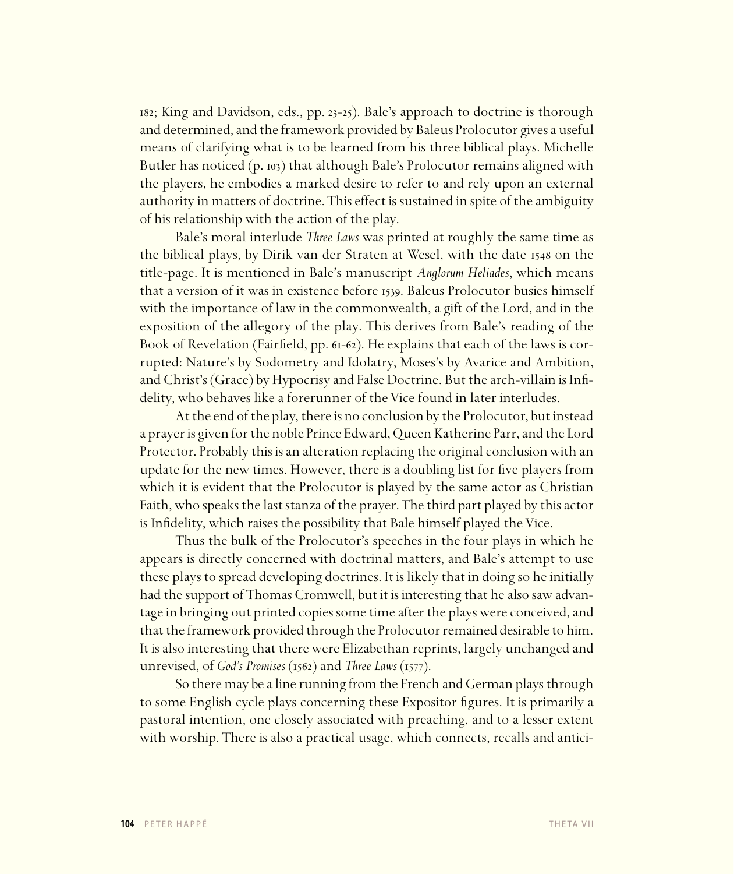182; King and Davidson, eds., pp. 23-25). Bale's approach to doctrine is thorough and determined, and the framework provided by Baleus Prolocutor gives a useful means of clarifying what is to be learned from his three biblical plays. Michelle Butler has noticed  $(p \cdot n_3)$  that although Bale's Prolocutor remains aligned with the players, he embodies a marked desire to refer to and rely upon an external authority in matters of doctrine. This effect is sustained in spite of the ambiguity of his relationship with the action of the play.

Bale's moral interlude *Three Laws* was printed at roughly the same time as the biblical plays, by Dirik van der Straten at Wesel, with the date 1548 on the title-page. It is mentioned in Bale's manuscript *Anglorum Heliades*, which means that a version of it was in existence before 1539. Baleus Prolocutor busies himself with the importance of law in the commonwealth, a gift of the Lord, and in the exposition of the allegory of the play. This derives from Bale's reading of the Book of Revelation (Fairfield, pp. 61-62). He explains that each of the laws is corrupted: Nature's by Sodometry and Idolatry, Moses's by Avarice and Ambition, and Christ's (Grace) by Hypocrisy and False Doctrine. But the arch-villain is Infidelity, who behaves like a forerunner of the Vice found in later interludes.

At the end of the play, there is no conclusion by the Prolocutor, but instead a prayer is given for the noble Prince Edward, Queen Katherine Parr, and the Lord Protector. Probably this is an alteration replacing the original conclusion with an update for the new times. However, there is a doubling list for five players from which it is evident that the Prolocutor is played by the same actor as Christian Faith, who speaks the last stanza of the prayer. The third part played by this actor is Infidelity, which raises the possibility that Bale himself played the Vice.

Thus the bulk of the Prolocutor's speeches in the four plays in which he appears is directly concerned with doctrinal matters, and Bale's attempt to use these plays to spread developing doctrines. It is likely that in doing so he initially had the support of Thomas Cromwell, but it is interesting that he also saw advantage in bringing out printed copies some time after the plays were conceived, and that the framework provided through the Prolocutor remained desirable to him. It is also interesting that there were Elizabethan reprints, largely unchanged and unrevised, of *God's Promises* (1562) and *Three Laws* (1577).

So there may be a line running from the French and German plays through to some English cycle plays concerning these Expositor figures. It is primarily a pastoral intention, one closely associated with preaching, and to a lesser extent with worship. There is also a practical usage, which connects, recalls and antici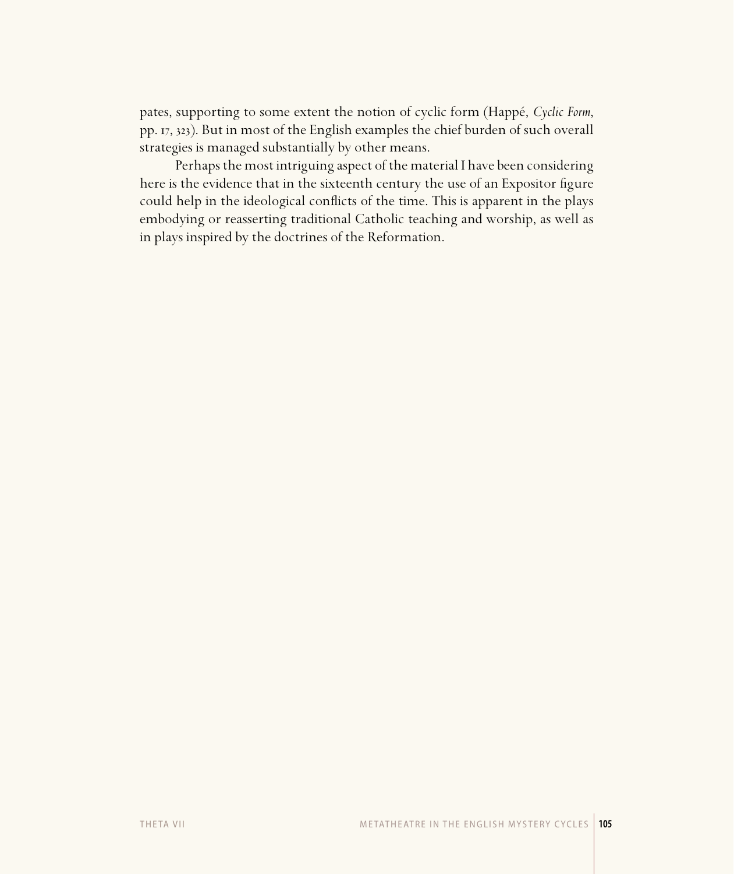pates, supporting to some extent the notion of cyclic form (Happé, *Cyclic Form*, pp. 17, 323). But in most of the English examples the chief burden of such overall strategies is managed substantially by other means.

Perhaps the most intriguing aspect of the material I have been considering here is the evidence that in the sixteenth century the use of an Expositor figure could help in the ideological conflicts of the time. This is apparent in the plays embodying or reasserting traditional Catholic teaching and worship, as well as in plays inspired by the doctrines of the Reformation.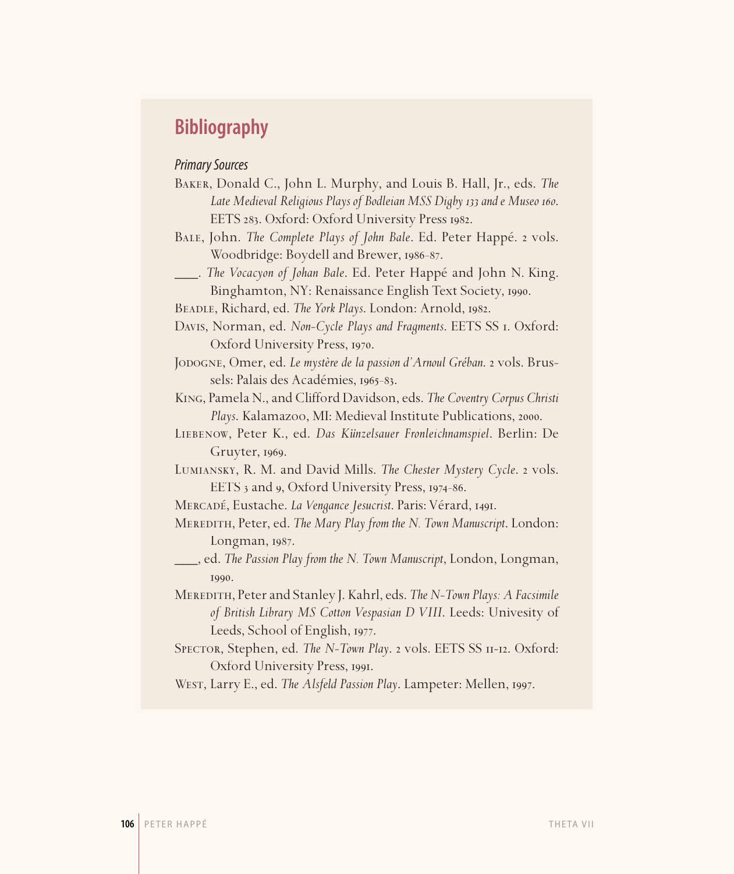# **Bibliography**

## Primary Sources

| BAKER, Donald C., John L. Murphy, and Louis B. Hall, Jr., eds. The       |
|--------------------------------------------------------------------------|
| Late Medieval Religious Plays of Bodleian MSS Digby 133 and e Museo 160. |
| EETS 283. Oxford: Oxford University Press 1982.                          |

- BALE, John. *The Complete Plays of John Bale*. Ed. Peter Happé. 2 vols. Woodbridge: Boydell and Brewer, 1986-87.
- \_\_\_. *The Vocacyon of Johan Bale*. Ed. Peter Happé and John N. King. Binghamton, NY: Renaissance English Text Society, 1990.

BEADLE, Richard, ed. *The York Plays*. London: Arnold, 1982.

- Davis, Norman, ed. *Non-Cycle Plays and Fragments*. EETS SS . Oxford: Oxford University Press, 1970.
- JODOGNE, Omer, ed. *Le mystère de la passion d'Arnoul Gréban*. 2 vols. Brussels: Palais des Académies, 1965-83.

King, Pamela N., and Clifford Davidson, eds. *The Coventry Corpus Christi Plays. Kalamazoo, MI: Medieval Institute Publications, 2000.* 

- Liebenow, Peter K., ed. *Das Künzelsauer Fronleichnamspiel*. Berlin: De  $Gruyter, 1969.$
- LUMIANSKY, R. M. and David Mills. The Chester Mystery Cycle. 2 vols. EETS 3 and 9, Oxford University Press, 1974-86.
- MERCADÉ, Eustache. *La Vengance Jesucrist*. Paris: Vérard, 1491.

Meredith, Peter, ed. *The Mary Play from the N. Town Manuscript*. London:  $Longman$ ,  $1987$ .

- \_\_\_, ed. *The Passion Play from the N. Town Manuscript*, London, Longman, 1990.
- Meredith, Peter and Stanley J. Kahrl, eds. *The N-Town Plays: A Facsimile of British Library MS Cotton Vespasian D VIII*. Leeds: Univesity of Leeds, School of English, 1977.
- SPECTOR, Stephen, ed. The N-Town Play. 2 vols. EETS SS II-12. Oxford: Oxford University Press, 1991.

WEST, Larry E., ed. *The Alsfeld Passion Play*. Lampeter: Mellen, 1997.